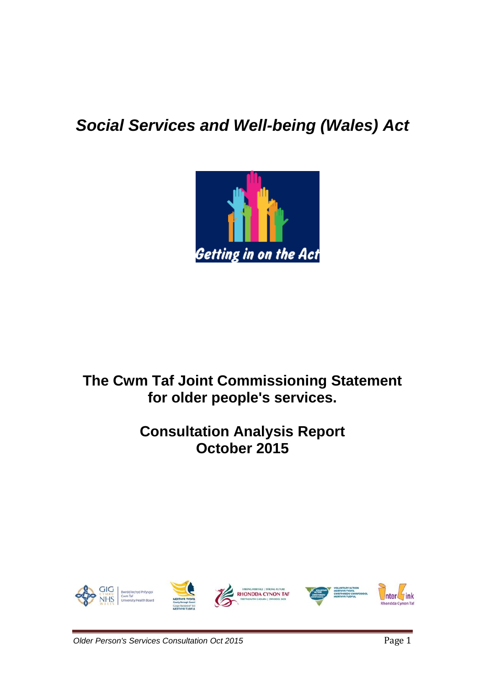# *Social Services and Well-being (Wales) Act*



## **The Cwm Taf Joint Commissioning Statement for older people's services.**

## **Consultation Analysis Report October 2015**

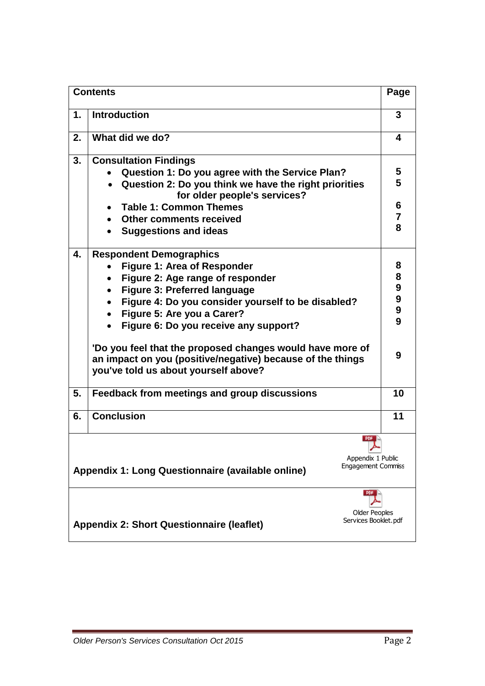| <b>Contents</b> |                                                                                                                                                                                                                                                                                                                                                                                                                                                                                       | Page                                                          |
|-----------------|---------------------------------------------------------------------------------------------------------------------------------------------------------------------------------------------------------------------------------------------------------------------------------------------------------------------------------------------------------------------------------------------------------------------------------------------------------------------------------------|---------------------------------------------------------------|
| 1.              | <b>Introduction</b>                                                                                                                                                                                                                                                                                                                                                                                                                                                                   | 3                                                             |
| 2.              | What did we do?                                                                                                                                                                                                                                                                                                                                                                                                                                                                       | 4                                                             |
| 3.              | <b>Consultation Findings</b><br>Question 1: Do you agree with the Service Plan?<br>Question 2: Do you think we have the right priorities<br>for older people's services?<br><b>Table 1: Common Themes</b><br><b>Other comments received</b>                                                                                                                                                                                                                                           | 5<br>5<br>6<br>7<br>8                                         |
| 4.              | <b>Suggestions and ideas</b><br><b>Respondent Demographics</b><br>Figure 1: Area of Responder<br>Figure 2: Age range of responder<br><b>Figure 3: Preferred language</b><br>$\bullet$<br>Figure 4: Do you consider yourself to be disabled?<br>Figure 5: Are you a Carer?<br>Figure 6: Do you receive any support?<br>'Do you feel that the proposed changes would have more of<br>an impact on you (positive/negative) because of the things<br>you've told us about yourself above? | 8<br>8<br>$\boldsymbol{9}$<br>9<br>$\boldsymbol{9}$<br>9<br>9 |
| 5.              | Feedback from meetings and group discussions                                                                                                                                                                                                                                                                                                                                                                                                                                          | 10                                                            |
| 6.              | <b>Conclusion</b><br>PDF                                                                                                                                                                                                                                                                                                                                                                                                                                                              | 11                                                            |
|                 | Appendix 1 Public<br><b>Engagement Commiss</b><br>Appendix 1: Long Questionnaire (available online)                                                                                                                                                                                                                                                                                                                                                                                   |                                                               |
|                 | <b>PDF</b><br><b>Older Peoples</b><br>Services Booklet.pdf<br><b>Appendix 2: Short Questionnaire (leaflet)</b>                                                                                                                                                                                                                                                                                                                                                                        |                                                               |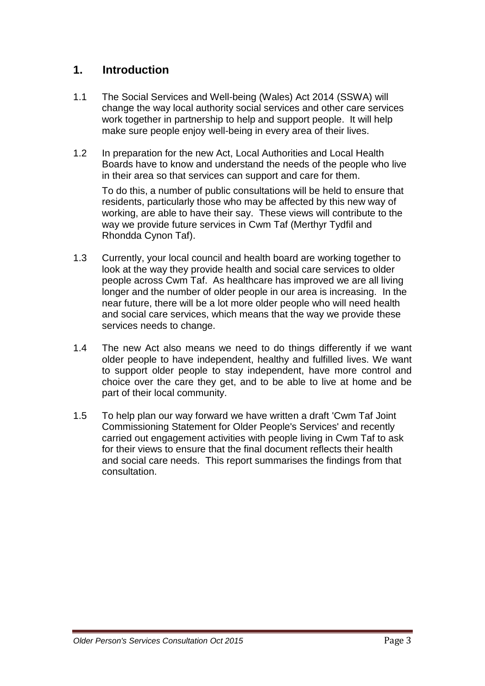## **1. Introduction**

- 1.1 The Social Services and Well-being (Wales) Act 2014 (SSWA) will change the way local authority social services and other care services work together in partnership to help and support people. It will help make sure people enjoy well-being in every area of their lives.
- 1.2 In preparation for the new Act, Local Authorities and Local Health Boards have to know and understand the needs of the people who live in their area so that services can support and care for them.

To do this, a number of public consultations will be held to ensure that residents, particularly those who may be affected by this new way of working, are able to have their say. These views will contribute to the way we provide future services in Cwm Taf (Merthyr Tydfil and Rhondda Cynon Taf).

- 1.3 Currently, your local council and health board are working together to look at the way they provide health and social care services to older people across Cwm Taf. As healthcare has improved we are all living longer and the number of older people in our area is increasing. In the near future, there will be a lot more older people who will need health and social care services, which means that the way we provide these services needs to change.
- 1.4 The new Act also means we need to do things differently if we want older people to have independent, healthy and fulfilled lives. We want to support older people to stay independent, have more control and choice over the care they get, and to be able to live at home and be part of their local community.
- 1.5 To help plan our way forward we have written a draft 'Cwm Taf Joint Commissioning Statement for Older People's Services' and recently carried out engagement activities with people living in Cwm Taf to ask for their views to ensure that the final document reflects their health and social care needs. This report summarises the findings from that consultation.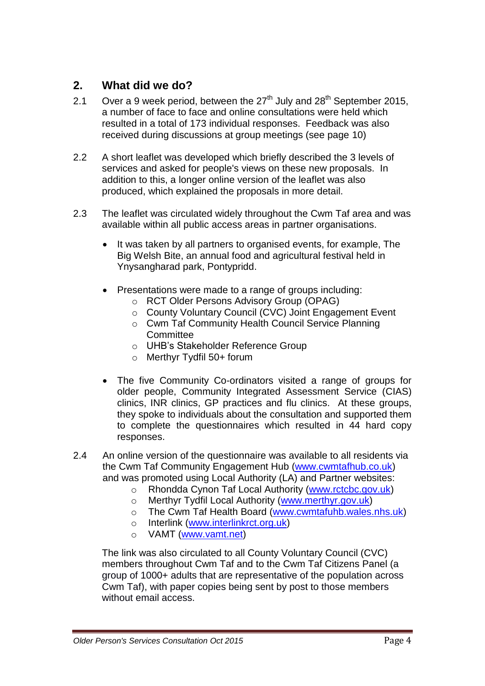## **2. What did we do?**

- 2.1 Over a 9 week period, between the  $27<sup>th</sup>$  July and  $28<sup>th</sup>$  September 2015, a number of face to face and online consultations were held which resulted in a total of 173 individual responses. Feedback was also received during discussions at group meetings (see page 10)
- 2.2 A short leaflet was developed which briefly described the 3 levels of services and asked for people's views on these new proposals. In addition to this, a longer online version of the leaflet was also produced, which explained the proposals in more detail.
- 2.3 The leaflet was circulated widely throughout the Cwm Taf area and was available within all public access areas in partner organisations.
	- It was taken by all partners to organised events, for example, The Big Welsh Bite, an annual food and agricultural festival held in Ynysangharad park, Pontypridd.
	- Presentations were made to a range of groups including:
		- o RCT Older Persons Advisory Group (OPAG)
		- o County Voluntary Council (CVC) Joint Engagement Event
		- o Cwm Taf Community Health Council Service Planning **Committee**
		- o UHB's Stakeholder Reference Group
		- o Merthyr Tydfil 50+ forum
	- The five Community Co-ordinators visited a range of groups for older people, Community Integrated Assessment Service (CIAS) clinics, INR clinics, GP practices and flu clinics. At these groups, they spoke to individuals about the consultation and supported them to complete the questionnaires which resulted in 44 hard copy responses.

2.4 An online version of the questionnaire was available to all residents via the Cwm Taf Community Engagement Hub [\(www.cwmtafhub.co.uk\)](http://www.cwmtafhub.co.uk/) and was promoted using Local Authority (LA) and Partner websites:

- o Rhondda Cynon Taf Local Authority [\(www.rctcbc.gov.uk\)](http://www.rctcbc.gov.uk/)
- o Merthyr Tydfil Local Authority [\(www.merthyr.gov.uk\)](http://www.merthyr.gov.uk/)
- o The Cwm Taf Health Board [\(www.cwmtafuhb.wales.nhs.uk\)](http://www.cwmtafuhb.wales.nhs.uk/)
- o Interlink [\(www.interlinkrct.org.uk\)](http://www.interlinkrct.org.uk/)
- o VAMT [\(www.vamt.net\)](http://www.vamt.net/)

The link was also circulated to all County Voluntary Council (CVC) members throughout Cwm Taf and to the Cwm Taf Citizens Panel (a group of 1000+ adults that are representative of the population across Cwm Taf), with paper copies being sent by post to those members without email access.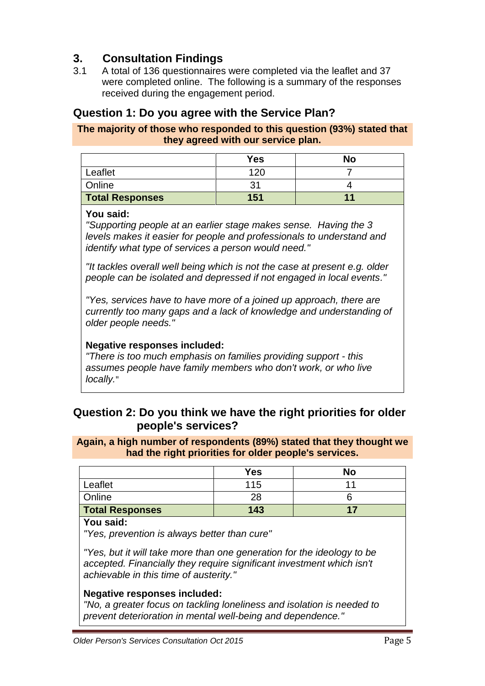## **3. Consultation Findings**

3.1 A total of 136 questionnaires were completed via the leaflet and 37 were completed online. The following is a summary of the responses received during the engagement period.

## **Question 1: Do you agree with the Service Plan?**

#### **The majority of those who responded to this question (93%) stated that they agreed with our service plan.**

|                        | Yes | No |
|------------------------|-----|----|
| Leaflet                | 12C |    |
| Online                 |     |    |
| <b>Total Responses</b> | 151 |    |

#### **You said:**

*"Supporting people at an earlier stage makes sense. Having the 3 levels makes it easier for people and professionals to understand and identify what type of services a person would need."*

*"It tackles overall well being which is not the case at present e.g. older people can be isolated and depressed if not engaged in local events."*

*"Yes, services have to have more of a joined up approach, there are currently too many gaps and a lack of knowledge and understanding of older people needs."*

#### **Negative responses included:**

*"There is too much emphasis on families providing support - this assumes people have family members who don't work, or who live locally.*"

## **Question 2: Do you think we have the right priorities for older people's services?**

#### **Again, a high number of respondents (89%) stated that they thought we had the right priorities for older people's services.**

|                        | Yes | <b>No</b> |
|------------------------|-----|-----------|
| Leaflet                | ∣15 |           |
| Online                 | 28  |           |
| <b>Total Responses</b> | 143 |           |

#### **You said:**

*"Yes, prevention is always better than cure"*

*"Yes, but it will take more than one generation for the ideology to be accepted. Financially they require significant investment which isn't achievable in this time of austerity."*

#### **Negative responses included:**

*"No, a greater focus on tackling loneliness and isolation is needed to prevent deterioration in mental well-being and dependence."*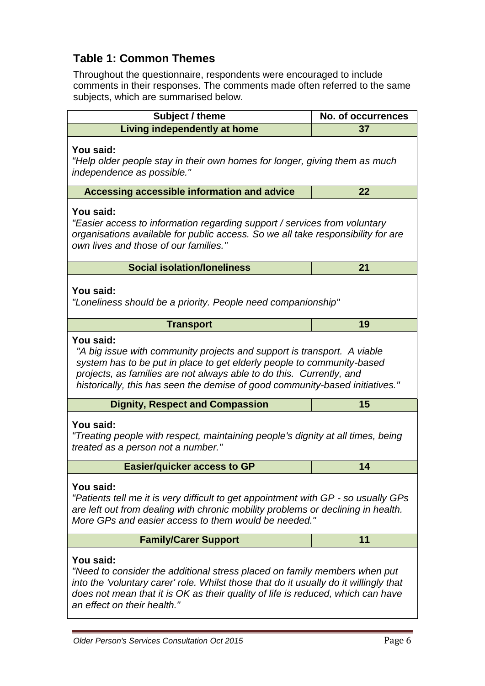## **Table 1: Common Themes**

Throughout the questionnaire, respondents were encouraged to include comments in their responses. The comments made often referred to the same subjects, which are summarised below.

| Subject / theme                                                                                                                                                                                                                                                                                                        | <b>No. of occurrences</b> |  |  |  |  |
|------------------------------------------------------------------------------------------------------------------------------------------------------------------------------------------------------------------------------------------------------------------------------------------------------------------------|---------------------------|--|--|--|--|
| Living independently at home                                                                                                                                                                                                                                                                                           | 37                        |  |  |  |  |
| You said:<br>"Help older people stay in their own homes for longer, giving them as much<br>independence as possible."                                                                                                                                                                                                  |                           |  |  |  |  |
| Accessing accessible information and advice                                                                                                                                                                                                                                                                            | 22                        |  |  |  |  |
| You said:<br>"Easier access to information regarding support / services from voluntary<br>organisations available for public access. So we all take responsibility for are<br>own lives and those of our families."                                                                                                    |                           |  |  |  |  |
| <b>Social isolation/loneliness</b>                                                                                                                                                                                                                                                                                     | 21                        |  |  |  |  |
| You said:<br>"Loneliness should be a priority. People need companionship"                                                                                                                                                                                                                                              |                           |  |  |  |  |
| <b>Transport</b>                                                                                                                                                                                                                                                                                                       | 19                        |  |  |  |  |
| You said:<br>"A big issue with community projects and support is transport. A viable<br>system has to be put in place to get elderly people to community-based<br>projects, as families are not always able to do this. Currently, and<br>historically, this has seen the demise of good community-based initiatives." |                           |  |  |  |  |
| <b>Dignity, Respect and Compassion</b>                                                                                                                                                                                                                                                                                 | 15                        |  |  |  |  |
| You said:<br>"Treating people with respect, maintaining people's dignity at all times, being<br>treated as a person not a number."                                                                                                                                                                                     |                           |  |  |  |  |
| <b>Easier/quicker access to GP</b>                                                                                                                                                                                                                                                                                     | 14                        |  |  |  |  |
| You said:<br>"Patients tell me it is very difficult to get appointment with GP - so usually GPs<br>are left out from dealing with chronic mobility problems or declining in health.<br>More GPs and easier access to them would be needed."                                                                            |                           |  |  |  |  |
| <b>Family/Carer Support</b>                                                                                                                                                                                                                                                                                            | 11                        |  |  |  |  |
| You said:<br>"Need to consider the additional stress placed on family members when put<br>into the 'voluntary carer' role. Whilst those that do it usually do it willingly that<br>does not mean that it is OK as their quality of life is reduced, which can have<br>an effect on their health."                      |                           |  |  |  |  |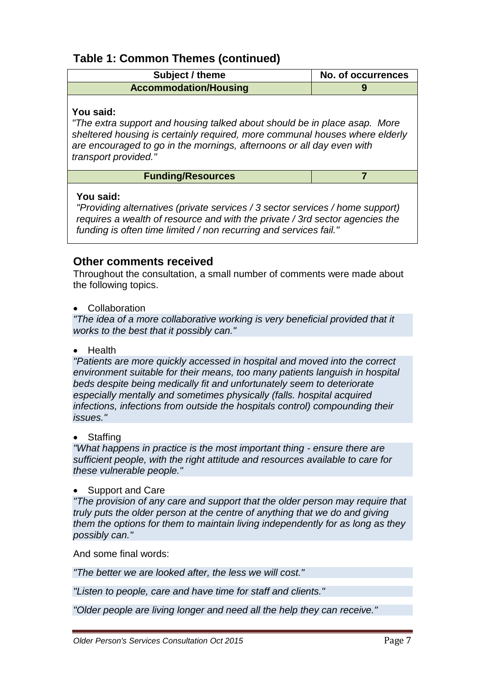## **Table 1: Common Themes (continued)**

| Subject / theme              | No. of occurrences |
|------------------------------|--------------------|
| <b>Accommodation/Housing</b> |                    |
|                              |                    |

## **You said:**

*"The extra support and housing talked about should be in place asap. More sheltered housing is certainly required, more communal houses where elderly are encouraged to go in the mornings, afternoons or all day even with transport provided."*

### **Funding/Resources 7**

#### **You said:**

*"Providing alternatives (private services / 3 sector services / home support) requires a wealth of resource and with the private / 3rd sector agencies the funding is often time limited / non recurring and services fail."*

## **Other comments received**

Throughout the consultation, a small number of comments were made about the following topics.

• Collaboration

*"The idea of a more collaborative working is very beneficial provided that it works to the best that it possibly can."*

• Health

*"Patients are more quickly accessed in hospital and moved into the correct environment suitable for their means, too many patients languish in hospital beds despite being medically fit and unfortunately seem to deteriorate especially mentally and sometimes physically (falls. hospital acquired infections, infections from outside the hospitals control) compounding their issues."*

**Staffing** 

*"What happens in practice is the most important thing - ensure there are sufficient people, with the right attitude and resources available to care for these vulnerable people."*

#### • Support and Care

*"The provision of any care and support that the older person may require that truly puts the older person at the centre of anything that we do and giving them the options for them to maintain living independently for as long as they possibly can."*

And some final words:

*"The better we are looked after, the less we will cost."*

*"Listen to people, care and have time for staff and clients."*

*"Older people are living longer and need all the help they can receive."*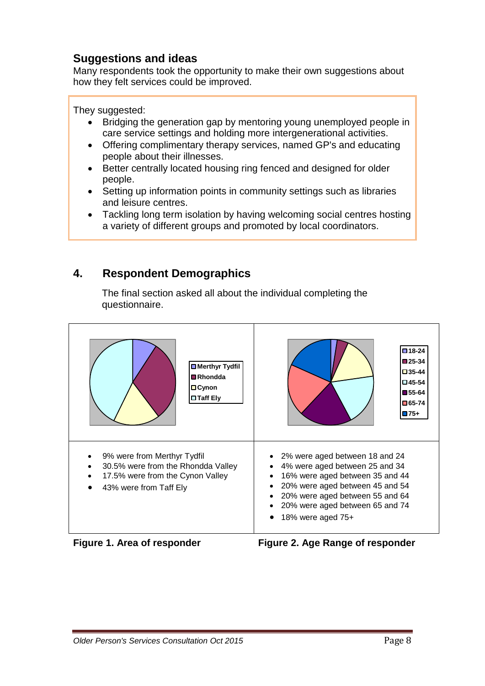## **Suggestions and ideas**

Many respondents took the opportunity to make their own suggestions about how they felt services could be improved.

They suggested:

- Bridging the generation gap by mentoring young unemployed people in care service settings and holding more intergenerational activities.
- Offering complimentary therapy services, named GP's and educating people about their illnesses.
- Better centrally located housing ring fenced and designed for older people.
- Setting up information points in community settings such as libraries and leisure centres.
- Tackling long term isolation by having welcoming social centres hosting a variety of different groups and promoted by local coordinators.

## **4. Respondent Demographics**

The final section asked all about the individual completing the questionnaire.





**Figure 1. Area of responder Figure 2. Age Range of responder**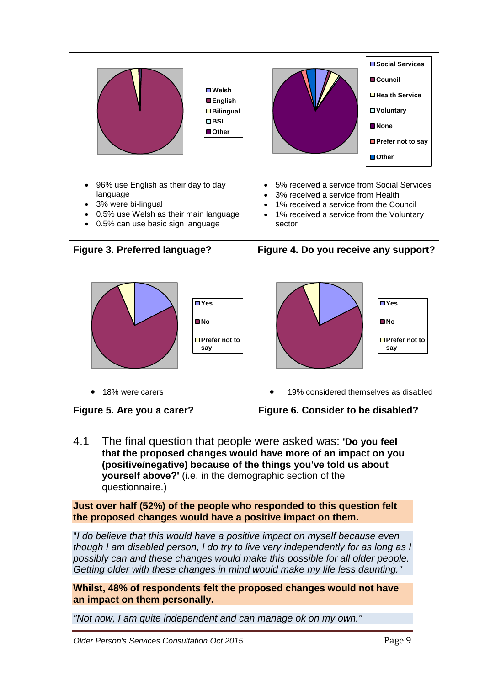









**Figure 5. Are you a carer? Figure 6. Consider to be disabled?**

4.1 The final question that people were asked was: **'Do you feel that the proposed changes would have more of an impact on you (positive/negative) because of the things you've told us about yourself above?'** (i.e. in the demographic section of the questionnaire.)

**Just over half (52%) of the people who responded to this question felt the proposed changes would have a positive impact on them.**

"*I do believe that this would have a positive impact on myself because even though I am disabled person, I do try to live very independently for as long as I possibly can and these changes would make this possible for all older people. Getting older with these changes in mind would make my life less daunting."*

**Whilst, 48% of respondents felt the proposed changes would not have an impact on them personally.**

*"Not now, I am quite independent and can manage ok on my own."*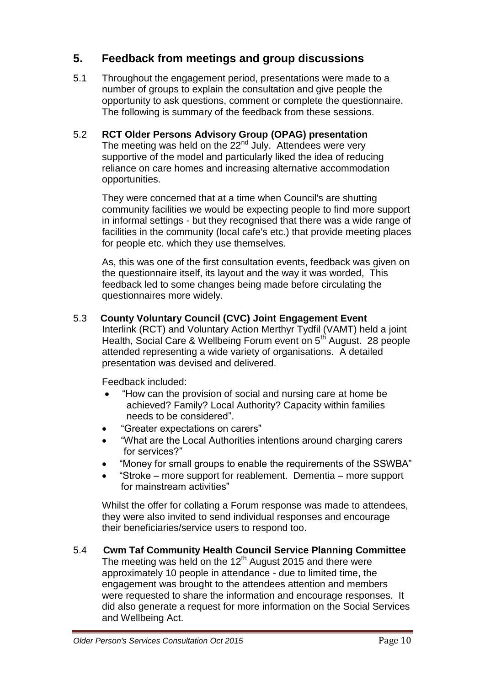## **5. Feedback from meetings and group discussions**

5.1 Throughout the engagement period, presentations were made to a number of groups to explain the consultation and give people the opportunity to ask questions, comment or complete the questionnaire. The following is summary of the feedback from these sessions.

## 5.2 **RCT Older Persons Advisory Group (OPAG) presentation**

The meeting was held on the  $22<sup>nd</sup>$  July. Attendees were very supportive of the model and particularly liked the idea of reducing reliance on care homes and increasing alternative accommodation opportunities.

They were concerned that at a time when Council's are shutting community facilities we would be expecting people to find more support in informal settings - but they recognised that there was a wide range of facilities in the community (local cafe's etc.) that provide meeting places for people etc. which they use themselves.

As, this was one of the first consultation events, feedback was given on the questionnaire itself, its layout and the way it was worded, This feedback led to some changes being made before circulating the questionnaires more widely.

## 5.3 **County Voluntary Council (CVC) Joint Engagement Event**

Interlink (RCT) and Voluntary Action Merthyr Tydfil (VAMT) held a joint Health, Social Care & Wellbeing Forum event on 5<sup>th</sup> August. 28 people attended representing a wide variety of organisations. A detailed presentation was devised and delivered.

Feedback included:

- "How can the provision of social and nursing care at home be achieved? Family? Local Authority? Capacity within families needs to be considered".
- "Greater expectations on carers"
- "What are the Local Authorities intentions around charging carers for services?"
- "Money for small groups to enable the requirements of the SSWBA"
- "Stroke more support for reablement. Dementia more support for mainstream activities"

Whilst the offer for collating a Forum response was made to attendees, they were also invited to send individual responses and encourage their beneficiaries/service users to respond too.

5.4 **Cwm Taf Community Health Council Service Planning Committee** The meeting was held on the  $12<sup>th</sup>$  August 2015 and there were approximately 10 people in attendance - due to limited time, the engagement was brought to the attendees attention and members were requested to share the information and encourage responses. It did also generate a request for more information on the Social Services and Wellbeing Act.